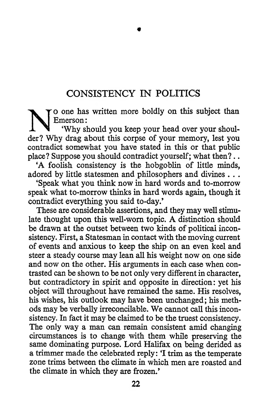CONSISTENCY IN POLITICS<br>To one has written more boldly on this subject than Emerson:

'Why should you keep your head over your shoulder? Why drag about this corpse of your memory, lest you contradict somewhat you have stated in this or that public place? Suppose you should contradict yourself; what then?..

'A foolish consistency is the hobgoblin of little minds, adored by little statesmen and philosophers and divines . . .

'Speak what you think now in hard words and to-morrow speak what to-morrow thinks in hard words again, though it contradict everything you said to-day.'

These are considerable assertions, and they may well stimulate thought upon this well-worn topic. A distinction should be drawn at the outset between two kinds of political inconsistency. First, a Statesman in contact with the moving current of events and anxious to keep the ship on an even keel and steer a steady course may lean all his weight now on one side and now on the other. His arguments in each case when contrasted can be shown to be not only very differentin character, but contradictory in spirit and opposite in direction: yet his object will throughout have remained the same. His resolves, his wishes, his outlook may have been unchanged; his methods may be verbally irreconcilable. We cannot call this inconsistency. In fact it may be claimed to be the truest consistency. The only way a man can remain consistent amid changing circumstances is to change with them while preserving the same dominating purpose. Lord Halifax on being derided as a trimmer made the celebrated reply: 'I trim as the temperate zone trims between the climate in which men are roasted and the climate in which they are frozen.'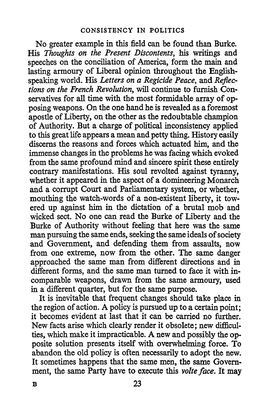No greater example in this field can be found than Burke. His Thoughts on the Present Discontents, his writings and speeches on the conciliation of America, form the main and lasting armoury of Liberal opinion throughout the Englishspeaking world. His Letters on a Regicide Peace, and Reflections on the French Revolution, will continue to furnish Conservatives for all time with the most formidable array of opposing weapons. On the one hand he is revealed as a foremost apostle of Liberty, on the other as the redoubtable champion of Authority. But a charge of political inconsistency applied to this great life appears a mean and petty thing. History easily discerns the reasons and forces which actuated him, and the immense changes in the problems he was facing which evoked from the same profound mind and sincere spirit these entirely contrary manifestations. His soul revolted against tyranny, whether it appeared in the aspect of a domineering Monarch and a corrupt Court and Parliamentary system, or whether, mouthing the watch-words of a non-existent liberty, it towered up against him in the dictation of a brutal mob and wicked sect. No one can read the Burke of Liberty and the Burke of Authority without feeling that here was the same man pursuing the same ends, seeking the same ideals of society and Government, and defending them from assaults, now from one extreme, now from the other. The same danger approached the same man from different directions and in different forms, and the same man turned to face it with incomparable weapons, drawn from the same armoury, used in a different quarter, but for the same purpose.

It is inevitable that frequent changes should take place in the region of action. A policy is pursued up to a certain point; it becomes evident at last that it can be carried no further. New facts arise which clearly render it obsolete; new difficulties, which make it impracticable. A new and possibly the opposite solution presents itself with overwhelming force. To abandon the old policy is often necessarily to adopt the new. It sometimes happens that the same men, the same Government, the same Party have to execute this volte face. It may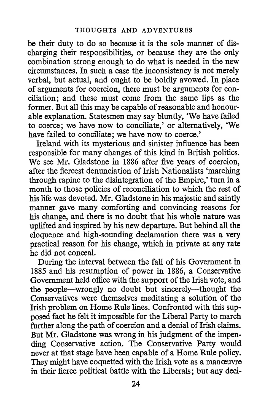be their duty to do so because it is the sole manner of discharging their responsibilities, or because they are the only combination strong enough to do what is needed in the new circumstances. In such a case the inconsistency is not merely verbal, but actual, and ought to be boldly avowed. In place of arguments for coercion, there must be arguments for conciliation; and these must come from the same lips as the former. But all this may be capable of reasonable and honourable explanation. Statesmen may say bluntly, 'We have failed to coerce; we have now to conciliate,' or alternatively, 'We have failed to conciliate; we have now to coerce.'

Ireland with its mysterious and sinister influence has been responsible for many changes of this kind in British politics. We see Mr. Gladstone in 1886 after five years of coercion, after the fiercest denunciation of Irish Nationalists 'marching through rapine to the disintegration of the Empire,' turn in a month to those policies of reconciliation to which the rest of his life was devoted. Mr. Gladstone in his majestic and saintly manner gave many comforting and convincing reasons for his change, and there is no doubt that his whole nature was uplifted and inspired by his new departure. But behind all the eloquence and high-sounding declamation there was a very practical reason for his change, which in private at any rate he did not conceal.

During the interval between the fall of his Government in 1885 and his resumption of power in 1886, a Conservative Government held office with the support of the Irish vote, and the people—wrongly no doubt but sincerely—thought the Conservatives were themselves meditating a solution of the Irish problem on Home Rule lines. Confronted with this supposed fact he felt it impossible for the Liberal Party to march further along the path of coercion and a denial of Irish claims. But Mr. Gladstone was wrong in his judgment of the impending Conservative action. The Conservative Party would never at that stage have been capable of a Home Rule policy. They might have coquetted with the Irish vote as a manœuvre in their fierce political battle with the Liberals; but any deci-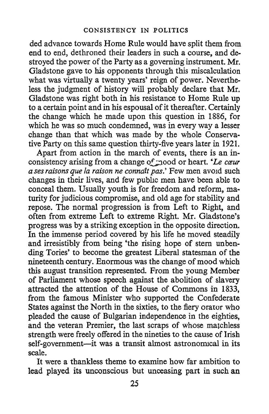ded advance towards Home Rule would have split them from end to end, dethroned their leaders in such a course, and destroyed the power of the Party as a governing instrument. Mr. Gladstone gave to his opponents through this miscalculation what was virtually a twenty years' reign of power. Nevertheless the judgment of history will probably declare that Mr. Gladstone was right both in his resistance to Home Rule up to a certain point and in his espousal of it thereafter. Certainly the change which he made upon this question in 1886, for which he was so much condemned, was in every way a lesser change than that which was made by the whole Conservative Party on this same question thirty-five years later in 1921.

Apart from action in the march of events, there is an in consistency arising from a change of mood or heart. 'Le cœur a ses raisons que la raison ne connaît pas.' Few men avoid such changes in their lives, and few public men have been able to conceal them. Usually youth is for freedom and reform, maturity for judicious compromise, and old age for stability and repose. The normal progression is from Left to Right, and often from extreme Left to extreme Right. Mr. Gladstone's progress was by a striking exception in the opposite direction. In the immense period covered by his life he moved steadily and irresistibly from being 'the rising hope of stern unbending Tories' to become the greatest Liberal statesman of the nineteenth century. Enormous was the change of mood which this august transition represented. From the young Member of Parliament whose speech against the abolition of slavery attracted the attention of the House of Commons in 1833, from the famous Minister who supported the Confederate States against the North in the sixties, to the fiery orator who pleaded the cause of Bulgarian independence in the eighties, and the veteran Premier, the last scraps of whose matchless strength were freely offered in the nineties to the cause of Irish self-government—it was a transit almost astronomical in its scale.

It were a thankless theme to examine how far ambition to lead played its unconscious but unceasing part in such an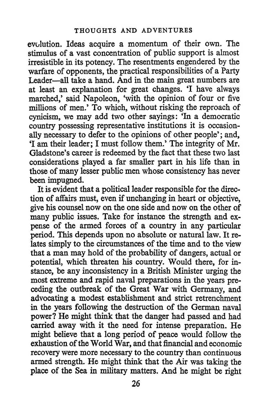evolution. Ideas acquire a momentum of their own. The stimulus of a vast concentration of public support is almost irresistible in its potency. The resentments engendered by the warfare of opponents, the practical responsibilities of a Party Leader—all take a hand. And in the main great numbers are at least an explanation for great changes. 'I have always marched,' said Napoleon, 'with the opinion of four or five millions of men.' To which, without risking the reproach of cynicism, we may add two other sayings: 'In a democratic country possessing representative institutions it is occasionally necessary to defer to the opinions of other people'; and, T am their leader; I must follow them.' The integrity of Mr. Gladstone's career is redeemed by the fact that these two last considerations played a far smaller part in his life than in those of many lesser public men whose consistency has never been impugned.

It is evident that a political leader responsible for the direction of affairs must, even if unchanging in heart or objective, give his counsel now on the one side and now on the other of many public issues. Take for instance the strength and expense of the armed forces of a country in any particular period. This depends upon no absolute or natural law. It relates simply to the circumstances of the time and to the view that a man may hold of the probability of dangers, actual or potential, which threaten his country. Would there, for instance, be any inconsistency in a British Minister urging the most extreme and rapid naval preparations in the years preceding the outbreak of the Great War with Germany, and advocating a modest establishment and strict retrenchment in the years following the destruction of the German naval power? He might think that the danger had passed and had carried away with it the need for intense preparation. He might believe that a long period of peace would follow the exhaustion of the World War, and that financial and economic recovery were more necessary to the country than continuous armed strength. He might think that the Air was taking the place of the Sea in military matters. And he might be right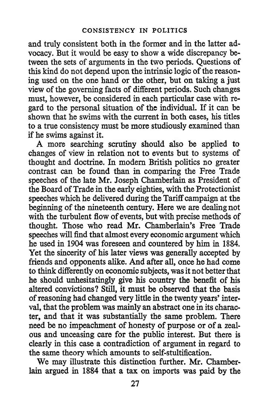and truly consistent both in the former and in the latter advocacy. But it would be easy to show a wide discrepancy be tween the sets of arguments in the two periods. Questions of this kind do not depend upon the intrinsic logic of the reasoning used on the one hand or the other, but on taking a just view of the governing facts of different periods. Such changes must, however, be considered in each particular case with regard to the personal situation of the individual. If it can be shown that he swims with the current in both cases, his titles to a true consistency must be more studiously examined than if he swims against it.

A more searching scrutiny should also be applied to changes of view in relation not to events but to systems of thought and doctrine. In modem British politics no greater contrast can be found than in comparing the Free Trade speeches of the late Mr. Joseph Chamberlain as President of the Board of Trade in the early eighties, with the Protectionist speeches which he delivered during the Tariff campaign at the beginning of the nineteenth century. Here we are dealing not with the turbulent flow of events, but with precise methods of thought. Those who read Mr. Chamberlain's Free Trade speeches will find that almost every economic argument which he used in 1904 was foreseen and countered by him in 1884. Yet the sincerity of his later views was generally accepted by friends and opponents alike. And after all, once he had come to think differently on economic subjects, was it not better that he should unhesitatingly give his country the benefit of his altered convictions? Still, it must be observed that the basis of reasoning had changed very little in the twenty years' interval, that the problem was mainly an abstract one in its character, and that it was substantially the same problem. There need be no impeachment of honesty of purpose or of a zealous and unceasing care for the public interest. But there is clearly in this case a contradiction of argument in regard to the same theory which amounts to self-stultification.

We may illustrate this distinction further. Mr. Chamberlain argued in 1884 that a tax on imports was paid by the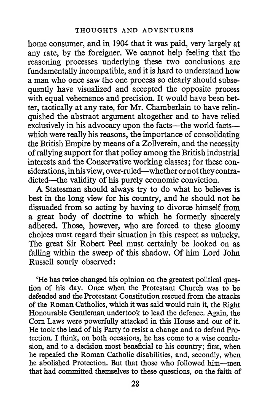home consumer, and in 1904 that it was paid, very largely at any rate, by the foreigner. We cannot help feeling that the reasoning processes underlying these two conclusions are fundamentally incompatible, and it is hard to understand how a man who once saw the one process so clearly should subsequently have visualized and accepted the opposite process with equal vehemence and precision. It would have been better, tactically at any rate, for Mr. Chamberlain to have relinquished the abstract argument altogether and to have relied exclusively in his advocacy upon the facts—the world facts which were really his reasons, the importance of consolidating the British Empire by means of a Zollverein, and the necessity ofrallying support for that policy among the British industrial interests and the Conservative working classes; for these con siderations, in his view, over-ruled—whether or not they contradicted—the validity of his purely economic conviction.

A Statesman should always try to do what he believes is best in the long view for his country, and he should not be dissuaded from so acting by having to divorce himself from a great body of doctrine to which he formerly sincerely adhered. Those, however, who are forced to these gloomy choices must regard their situation in this respect as unlucky. The great Sir Robert Peel must certainly be looked on as falling within the sweep of this shadow. Of him Lord John Russell sourly observed:

\*He has twice changed his opinion on the greatest political ques tion of his day. Once when the Protestant Church was to be defended and the Protestant Constitution rescued from the attacks of the Roman Catholics, which it was said would ruin it, the Right Honourable Gentleman undertook to lead the defence. Again, the Com Laws were powerfully attacked in this House and out of it. He took the lead of his Party to resist a change and to defend Protection. I think, on both occasions, he has come to a wise conclusion, and to a decision most beneficial to his country; first, when he repealed the Roman Catholic disabilities, and, secondly, when he abolished Protection. But that those who followed him—men that had committed themselves to these questions, on the faith of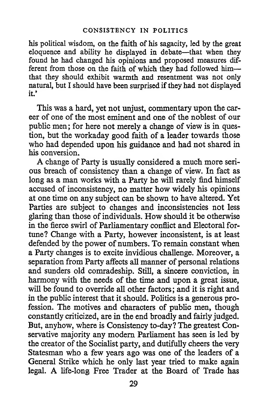his political wisdom, on the faith of his sagacity, led by the great eloquence and ability he displayed in debate—that when they found he had changed his opinions and proposed measures different from those on the faith of which they had followed him that they should exhibit warmth and resentment was not only natural, but I should have been surprised if they had not displayed it.'

This was a hard, yet not unjust, commentary upon the career of one of the most eminent and one of the noblest of our public men; for here not merely a change of view is in question, but the workaday good faith of a leader towards those who had depended upon his guidance and had not shared in his conversion.

A change of Party is usually considered a much more serious breach of consistency than a change of view. In fact as long as a man works with a Party he will rarely find himself accused of inconsistency, no matter how widely his opinions at one time on any subject can be shown to have altered. Yet Parties are subject to changes and inconsistencies not less glaring than those of individuals. How should it be otherwise in the fierce swirl of Parliamentary conflict and Electoral fortune? Change with a Party, however inconsistent, is at least defended by the power of numbers. To remain constant when a Party changes is to excite invidious challenge. Moreover, a separation from Party affects all manner of personal relations and sunders old comradeship. Still, a sincere conviction, in harmony with the needs of the time and upon a great issue, will be found to override all other factors; and it is right and in the public interest that it should. Politics is a generous profession. The motives and characters of public men, though constantly criticized, are in the end broadly and fairly judged. But, anyhow, where is Consistency to-day? The greatest Con servative majority any modem Parliament has seen is led by the creator of the Socialist party, and dutifully cheers the very Statesman who a few years ago was one of the leaders of a General Strike which he only last year tried to make again legal. A life-long Free Trader at the Board of Trade has